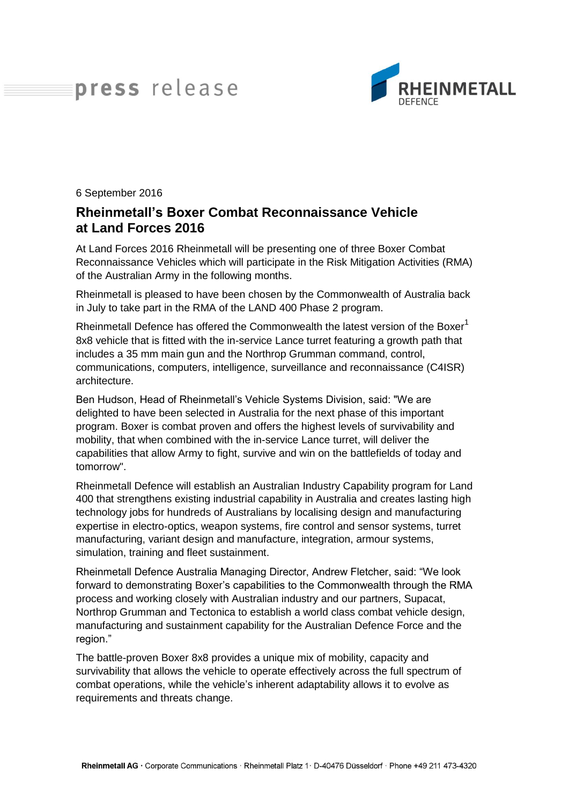## press release



6 September 2016

## **Rheinmetall's Boxer Combat Reconnaissance Vehicle at Land Forces 2016**

At Land Forces 2016 Rheinmetall will be presenting one of three Boxer Combat Reconnaissance Vehicles which will participate in the Risk Mitigation Activities (RMA) of the Australian Army in the following months.

Rheinmetall is pleased to have been chosen by the Commonwealth of Australia back in July to take part in the RMA of the LAND 400 Phase 2 program.

Rheinmetall Defence has offered the Commonwealth the latest version of the Boxer<sup>1</sup> 8x8 vehicle that is fitted with the in-service Lance turret featuring a growth path that includes a 35 mm main gun and the Northrop Grumman command, control, communications, computers, intelligence, surveillance and reconnaissance (C4ISR) architecture.

Ben Hudson, Head of Rheinmetall's Vehicle Systems Division, said: "We are delighted to have been selected in Australia for the next phase of this important program. Boxer is combat proven and offers the highest levels of survivability and mobility, that when combined with the in-service Lance turret, will deliver the capabilities that allow Army to fight, survive and win on the battlefields of today and tomorrow".

Rheinmetall Defence will establish an Australian Industry Capability program for Land 400 that strengthens existing industrial capability in Australia and creates lasting high technology jobs for hundreds of Australians by localising design and manufacturing expertise in electro-optics, weapon systems, fire control and sensor systems, turret manufacturing, variant design and manufacture, integration, armour systems, simulation, training and fleet sustainment.

Rheinmetall Defence Australia Managing Director, Andrew Fletcher, said: "We look forward to demonstrating Boxer's capabilities to the Commonwealth through the RMA process and working closely with Australian industry and our partners, Supacat, Northrop Grumman and Tectonica to establish a world class combat vehicle design, manufacturing and sustainment capability for the Australian Defence Force and the region."

The battle-proven Boxer 8x8 provides a unique mix of mobility, capacity and survivability that allows the vehicle to operate effectively across the full spectrum of combat operations, while the vehicle's inherent adaptability allows it to evolve as requirements and threats change.